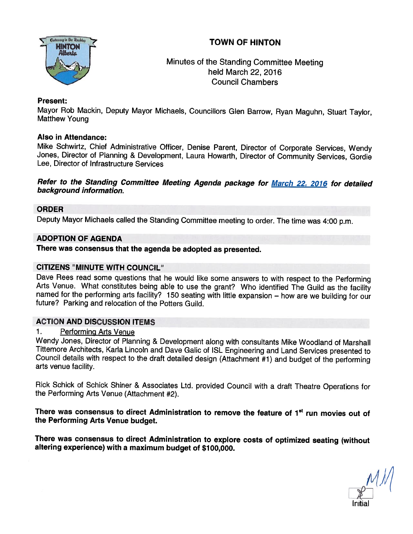



# Minutes of the Standing Committee Meeting held March 22, 2016 Council Chambers

#### Present:

Mayor Rob Mackin, Deputy Mayor Michaels, Councillors Glen Barrow, Ryan Maguhn, Stuart Taylor,<br>Matthew Young

### Also in Attendance:

Mike Schwirtz, Chief Administrative Officer, Denise Parent, Director of Corporate Services, Wendy<br>Jones, Director of Planning & Development, Laura Howarth, Director of Community Services, Gordie<br>Lee, Director of Infrastruc

# Refer to the Standing Committee Meeting Agenda package for **March 22, 2016** for detailed<br>background information.

### ORDER

Deputy Mayor Michaels called the Standing Committee meeting to order. The time was 4:00 p.m.

### ADOPTION OF AGENDA

There was consensus that the agenda be adopted as presented.

#### CITIZENS "MINUTE WITH COUNCIL"

Dave Rees read some questions that he would like some answers to with respect to the Performing<br>Arts Venue. What constitutes being able to use the grant? Who identified The Guild as the facility<br>named for the performing ar

## ACTION AND DISCUSSION ITEMS

#### 1. Performing Arts Venue

Wendy Jones, Director of Planning & Development along with consultants Mike Woodland of Marshall<br>Tittemore Architects, Karla Lincoln and Dave Galic of ISL Engineering and Land Services presented to Council details with respect to the draft detailed design (Attachment #1) and budget of the performing arts venue facility.

Rick Schick of Schick Shiner & Associates Ltd. provided Council with <sup>a</sup> draft Theatre Operations for the Performing Arts Venue (Attachment #2).

There was consensus to direct Administration to remove the feature of 1<sup>st</sup> run movies out of the Performing Arts Venue budget.

There was consensus to direct Administration to explore costs of optimized seating (without altering experience) with a maximum budget of \$100,000.

Initial